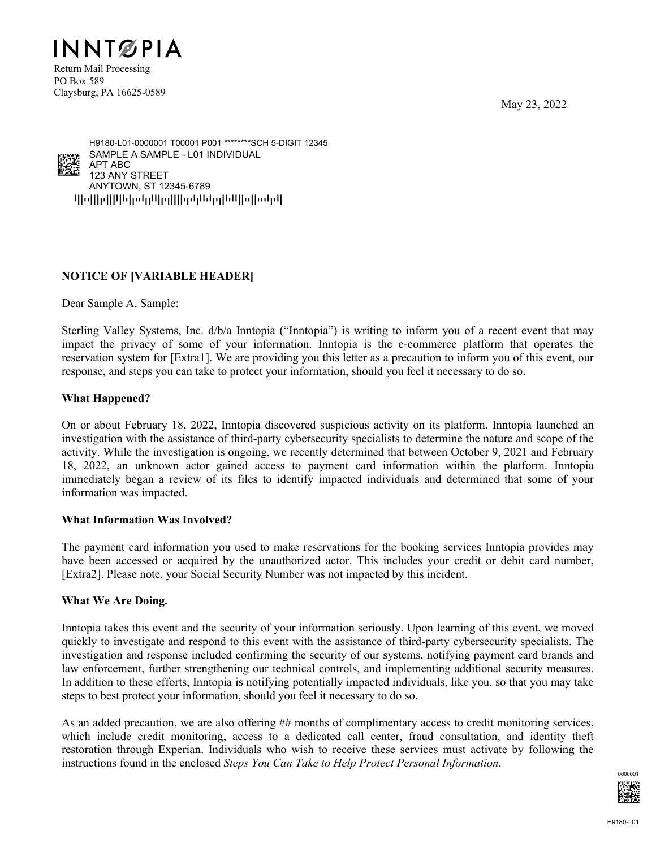May 23, 2022



PO Box 589 Claysburg, PA 16625-0589

qpoppqppppopppppppppppppppppppppppp ANYTOWN, ST 12345-6789 123 ANY STREET APT ABC SAMPLE A SAMPLE - L01 INDIVIDUAL H9180-L01-0000001 T00001 P001 \*\*\*\*\*\*\*\*SCH 5-DIGIT 12345 <u>ick</u><br>Ko

# **NOTICE OF [VARIABLE HEADER]**

Dear Sample A. Sample:

Sterling Valley Systems, Inc. d/b/a Inntopia ("Inntopia") is writing to inform you of a recent event that may impact the privacy of some of your information. Inntopia is the e-commerce platform that operates the reservation system for [Extra1]. We are providing you this letter as a precaution to inform you of this event, our response, and steps you can take to protect your information, should you feel it necessary to do so.

## **What Happened?**

On or about February 18, 2022, Inntopia discovered suspicious activity on its platform. Inntopia launched an investigation with the assistance of third-party cybersecurity specialists to determine the nature and scope of the activity. While the investigation is ongoing, we recently determined that between October 9, 2021 and February 18, 2022, an unknown actor gained access to payment card information within the platform. Inntopia immediately began a review of its files to identify impacted individuals and determined that some of your information was impacted.

#### **What Information Was Involved?**

The payment card information you used to make reservations for the booking services Inntopia provides may have been accessed or acquired by the unauthorized actor. This includes your credit or debit card number, [Extra2]. Please note, your Social Security Number was not impacted by this incident.

## **What We Are Doing.**

Inntopia takes this event and the security of your information seriously. Upon learning of this event, we moved quickly to investigate and respond to this event with the assistance of third-party cybersecurity specialists. The investigation and response included confirming the security of our systems, notifying payment card brands and law enforcement, further strengthening our technical controls, and implementing additional security measures. In addition to these efforts, Inntopia is notifying potentially impacted individuals, like you, so that you may take steps to best protect your information, should you feel it necessary to do so.

As an added precaution, we are also offering ## months of complimentary access to credit monitoring services, which include credit monitoring, access to a dedicated call center, fraud consultation, and identity theft restoration through Experian. Individuals who wish to receive these services must activate by following the instructions found in the enclosed *Steps You Can Take to Help Protect Personal Information*.

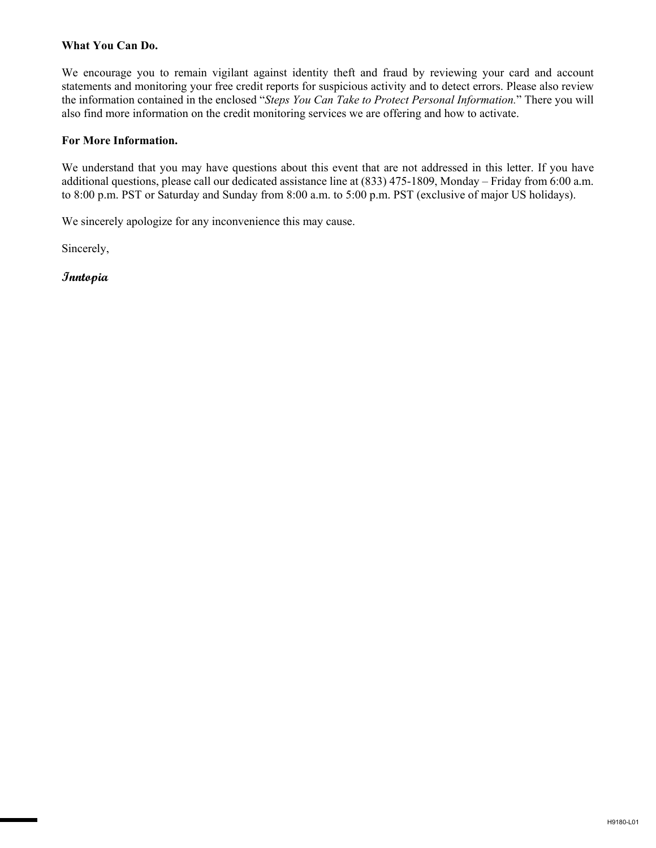#### **What You Can Do.**

We encourage you to remain vigilant against identity theft and fraud by reviewing your card and account statements and monitoring your free credit reports for suspicious activity and to detect errors. Please also review the information contained in the enclosed "*Steps You Can Take to Protect Personal Information.*" There you will also find more information on the credit monitoring services we are offering and how to activate.

#### **For More Information.**

We understand that you may have questions about this event that are not addressed in this letter. If you have additional questions, please call our dedicated assistance line at (833) 475-1809, Monday – Friday from 6:00 a.m. to 8:00 p.m. PST or Saturday and Sunday from 8:00 a.m. to 5:00 p.m. PST (exclusive of major US holidays).

We sincerely apologize for any inconvenience this may cause.

Sincerely,

**Inntopia**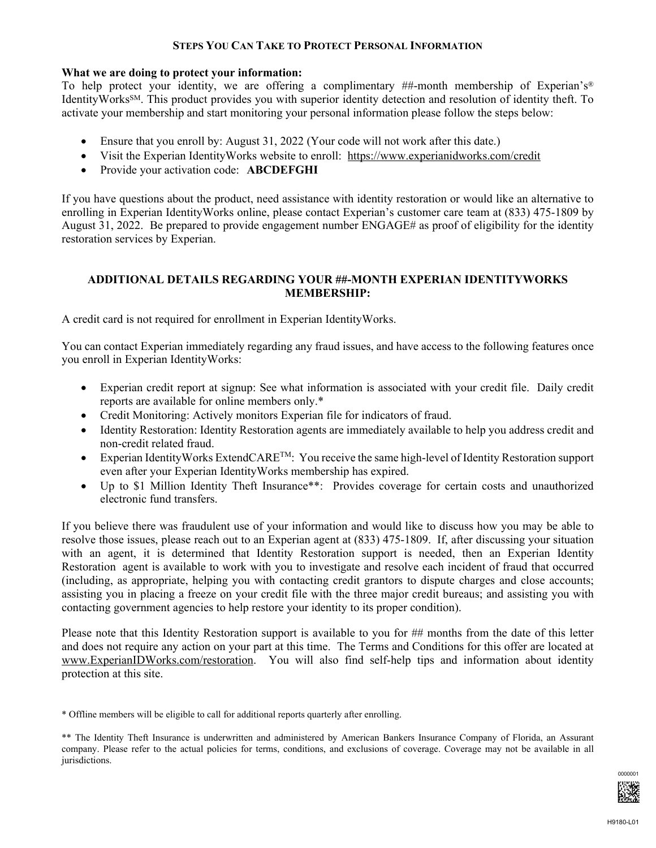#### **STEPS YOU CAN TAKE TO PROTECT PERSONAL INFORMATION**

#### **What we are doing to protect your information:**

To help protect your identity, we are offering a complimentary ##-month membership of Experian's® IdentityWorksSM. This product provides you with superior identity detection and resolution of identity theft. To activate your membership and start monitoring your personal information please follow the steps below:

- Ensure that you enroll by: August 31, 2022 (Your code will not work after this date.)
- Visit the Experian IdentityWorks website to enroll: https://www.experianidworks.com/credit
- Provide your activation code: **ABCDEFGHI**

If you have questions about the product, need assistance with identity restoration or would like an alternative to enrolling in Experian IdentityWorks online, please contact Experian's customer care team at (833) 475-1809 by August 31, 2022. Be prepared to provide engagement number ENGAGE# as proof of eligibility for the identity restoration services by Experian.

### **ADDITIONAL DETAILS REGARDING YOUR ##-MONTH EXPERIAN IDENTITYWORKS MEMBERSHIP:**

A credit card is not required for enrollment in Experian IdentityWorks.

You can contact Experian immediately regarding any fraud issues, and have access to the following features once you enroll in Experian IdentityWorks:

- Experian credit report at signup: See what information is associated with your credit file. Daily credit reports are available for online members only.\*
- Credit Monitoring: Actively monitors Experian file for indicators of fraud.
- Identity Restoration: Identity Restoration agents are immediately available to help you address credit and non-credit related fraud.
- Experian Identity Works ExtendCARE<sup>TM</sup>: You receive the same high-level of Identity Restoration support even after your Experian IdentityWorks membership has expired.
- Up to \$1 Million Identity Theft Insurance\*\*: Provides coverage for certain costs and unauthorized electronic fund transfers.

If you believe there was fraudulent use of your information and would like to discuss how you may be able to resolve those issues, please reach out to an Experian agent at (833) 475-1809. If, after discussing your situation with an agent, it is determined that Identity Restoration support is needed, then an Experian Identity Restoration agent is available to work with you to investigate and resolve each incident of fraud that occurred (including, as appropriate, helping you with contacting credit grantors to dispute charges and close accounts; assisting you in placing a freeze on your credit file with the three major credit bureaus; and assisting you with contacting government agencies to help restore your identity to its proper condition).

Please note that this Identity Restoration support is available to you for ## months from the date of this letter and does not require any action on your part at this time. The Terms and Conditions for this offer are located at www.ExperianIDWorks.com/restoration. You will also find self-help tips and information about identity protection at this site.

\* Offline members will be eligible to call for additional reports quarterly after enrolling.

<sup>\*\*</sup> The Identity Theft Insurance is underwritten and administered by American Bankers Insurance Company of Florida, an Assurant company. Please refer to the actual policies for terms, conditions, and exclusions of coverage. Coverage may not be available in all jurisdictions.

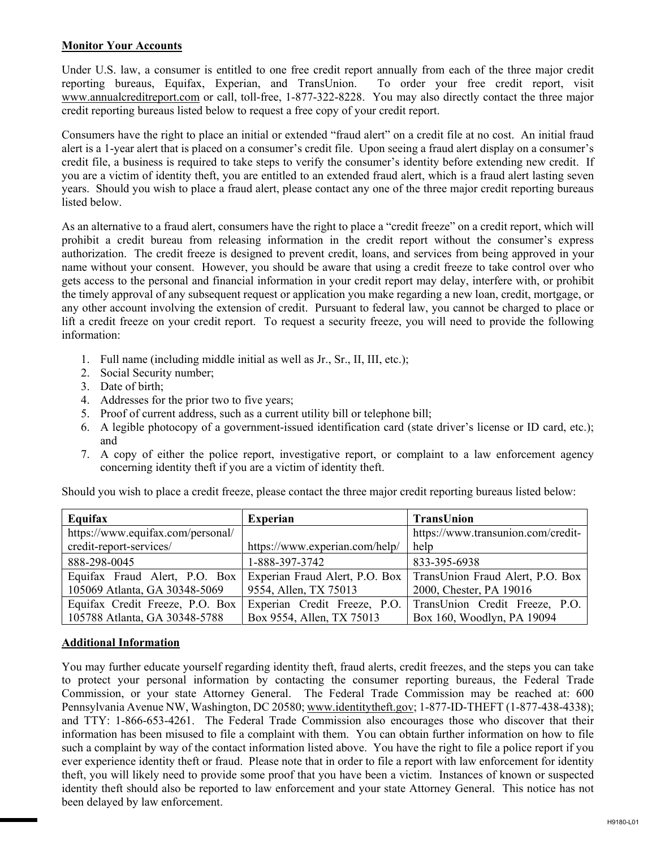## **Monitor Your Accounts**

Under U.S. law, a consumer is entitled to one free credit report annually from each of the three major credit reporting bureaus, Equifax, Experian, and TransUnion. To order your free credit report, visit www.annualcreditreport.com or call, toll-free, 1-877-322-8228. You may also directly contact the three major credit reporting bureaus listed below to request a free copy of your credit report.

Consumers have the right to place an initial or extended "fraud alert" on a credit file at no cost. An initial fraud alert is a 1-year alert that is placed on a consumer's credit file. Upon seeing a fraud alert display on a consumer's credit file, a business is required to take steps to verify the consumer's identity before extending new credit. If you are a victim of identity theft, you are entitled to an extended fraud alert, which is a fraud alert lasting seven years. Should you wish to place a fraud alert, please contact any one of the three major credit reporting bureaus listed below.

As an alternative to a fraud alert, consumers have the right to place a "credit freeze" on a credit report, which will prohibit a credit bureau from releasing information in the credit report without the consumer's express authorization. The credit freeze is designed to prevent credit, loans, and services from being approved in your name without your consent. However, you should be aware that using a credit freeze to take control over who gets access to the personal and financial information in your credit report may delay, interfere with, or prohibit the timely approval of any subsequent request or application you make regarding a new loan, credit, mortgage, or any other account involving the extension of credit. Pursuant to federal law, you cannot be charged to place or lift a credit freeze on your credit report. To request a security freeze, you will need to provide the following information:

- 1. Full name (including middle initial as well as Jr., Sr., II, III, etc.);
- 2. Social Security number;
- 3. Date of birth;
- 4. Addresses for the prior two to five years;
- 5. Proof of current address, such as a current utility bill or telephone bill;
- 6. A legible photocopy of a government-issued identification card (state driver's license or ID card, etc.); and
- 7. A copy of either the police report, investigative report, or complaint to a law enforcement agency concerning identity theft if you are a victim of identity theft.

| Equifax                           | <b>Experian</b>                | TransUnion                         |
|-----------------------------------|--------------------------------|------------------------------------|
| https://www.equifax.com/personal/ |                                | https://www.transunion.com/credit- |
| credit-report-services/           | https://www.experian.com/help/ | help                               |
| 888-298-0045                      | 1-888-397-3742                 | 833-395-6938                       |
| Equifax Fraud Alert, P.O. Box     | Experian Fraud Alert, P.O. Box | TransUnion Fraud Alert, P.O. Box   |
| 105069 Atlanta, GA 30348-5069     | 9554, Allen, TX 75013          | 2000, Chester, PA 19016            |
| Equifax Credit Freeze, P.O. Box   | Experian Credit Freeze, P.O.   | TransUnion Credit Freeze, P.O.     |
| 105788 Atlanta, GA 30348-5788     | Box 9554, Allen, TX 75013      | Box 160, Woodlyn, PA 19094         |

Should you wish to place a credit freeze, please contact the three major credit reporting bureaus listed below:

#### **Additional Information**

You may further educate yourself regarding identity theft, fraud alerts, credit freezes, and the steps you can take to protect your personal information by contacting the consumer reporting bureaus, the Federal Trade Commission, or your state Attorney General.The Federal Trade Commission may be reached at: 600 Pennsylvania Avenue NW, Washington, DC 20580; www.identitytheft.gov; 1-877-ID-THEFT (1-877-438-4338); and TTY: 1-866-653-4261. The Federal Trade Commission also encourages those who discover that their information has been misused to file a complaint with them. You can obtain further information on how to file such a complaint by way of the contact information listed above. You have the right to file a police report if you ever experience identity theft or fraud. Please note that in order to file a report with law enforcement for identity theft, you will likely need to provide some proof that you have been a victim. Instances of known or suspected identity theft should also be reported to law enforcement and your state Attorney General. This notice has not been delayed by law enforcement.